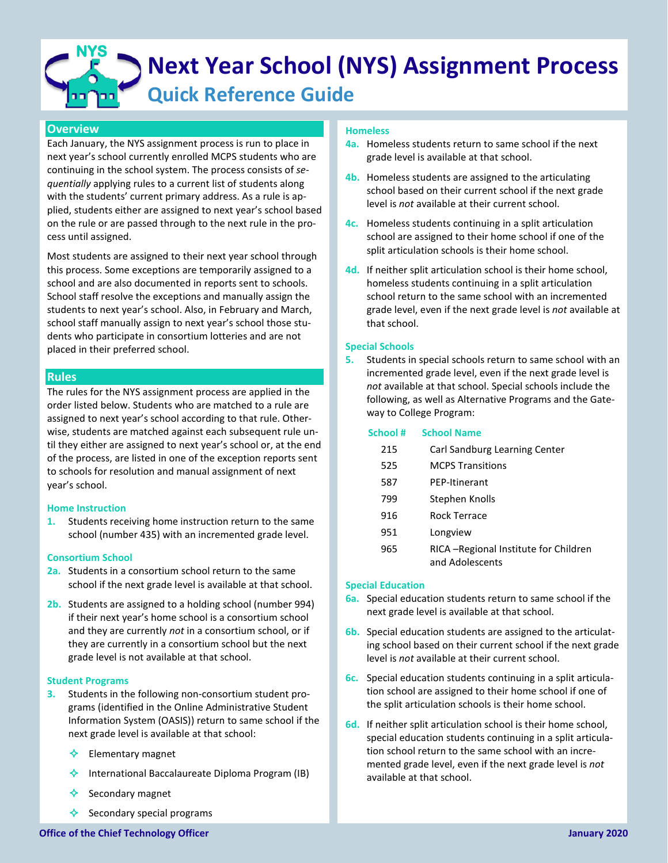# **Next Year School (NYS) Assignment Process Quick Reference Guide NYS**

# **Overview**

Each January, the NYS assignment process is run to place in next year's school currently enrolled MCPS students who are continuing in the school system. The process consists of *sequentially* applying rules to a current list of students along with the students' current primary address. As a rule is applied, students either are assigned to next year's school based on the rule or are passed through to the next rule in the process until assigned.

Most students are assigned to their next year school through this process. Some exceptions are temporarily assigned to a school and are also documented in reports sent to schools. School staff resolve the exceptions and manually assign the students to next year's school. Also, in February and March, school staff manually assign to next year's school those students who participate in consortium lotteries and are not placed in their preferred school.

# **Rules**

The rules for the NYS assignment process are applied in the order listed below. Students who are matched to a rule are assigned to next year's school according to that rule. Otherwise, students are matched against each subsequent rule until they either are assigned to next year's school or, at the end of the process, are listed in one of the exception reports sent to schools for resolution and manual assignment of next year's school.

# **Home Instruction**

**1.** Students receiving home instruction return to the same school (number 435) with an incremented grade level.

# **Consortium School**

- **2a.** Students in a consortium school return to the same school if the next grade level is available at that school.
- **2b.** Students are assigned to a holding school (number 994) if their next year's home school is a consortium school and they are currently *not* in a consortium school, or if they are currently in a consortium school but the next grade level is not available at that school.

## **Student Programs**

- **3.** Students in the following non-consortium student programs (identified in the Online Administrative Student Information System (OASIS)) return to same school if the next grade level is available at that school:
	- $\triangle$  Elementary magnet
	- International Baccalaureate Diploma Program (IB)
	- Secondary magnet
	- $\triangle$  Secondary special programs

## **Homeless**

- **4a.** Homeless students return to same school if the next grade level is available at that school.
- **4b.** Homeless students are assigned to the articulating school based on their current school if the next grade level is *not* available at their current school.
- **4c.** Homeless students continuing in a split articulation school are assigned to their home school if one of the split articulation schools is their home school.
- **4d.** If neither split articulation school is their home school, homeless students continuing in a split articulation school return to the same school with an incremented grade level, even if the next grade level is *not* available at that school.

# **Special Schools**

**5.** Students in special schools return to same school with an incremented grade level, even if the next grade level is *not* available at that school. Special schools include the following, as well as Alternative Programs and the Gateway to College Program:

| School# | <b>School Name</b>                                        |
|---------|-----------------------------------------------------------|
| 215     | Carl Sandburg Learning Center                             |
| 525     | <b>MCPS Transitions</b>                                   |
| 587     | <b>PFP-Itinerant</b>                                      |
| 799     | Stephen Knolls                                            |
| 916     | Rock Terrace                                              |
| 951     | Longview                                                  |
| 965     | RICA - Regional Institute for Children<br>and Adolescents |

## **Special Education**

- **6a.** Special education students return to same school if the next grade level is available at that school.
- **6b.** Special education students are assigned to the articulating school based on their current school if the next grade level is *not* available at their current school.
- **6c.** Special education students continuing in a split articulation school are assigned to their home school if one of the split articulation schools is their home school.
- **6d.** If neither split articulation school is their home school, special education students continuing in a split articulation school return to the same school with an incremented grade level, even if the next grade level is *not* available at that school.